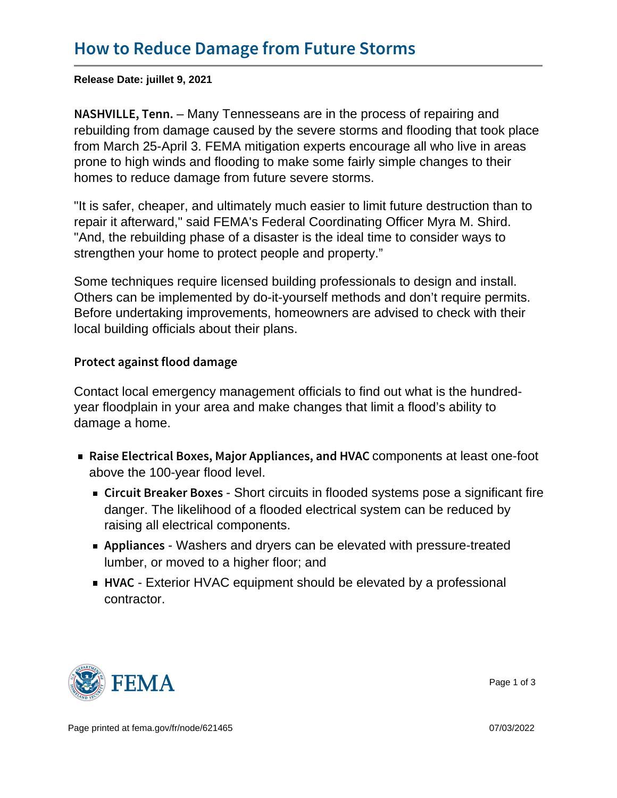Release Date: juillet 9, 2021

N A S H V I L L  $E_{\tau}$ , Maney The nesseans are in the process of repairing and rebuilding from damage caused by the severe storms and flooding that took place from March 25-April 3. FEMA mitigation experts encourage all who live in areas prone to high winds and flooding to make some fairly simple changes to their homes to reduce damage from future severe storms.

"It is safer, cheaper, and ultimately much easier to limit future destruction than to repair it afterward," said FEMA's Federal Coordinating Officer Myra M. Shird. "And, the rebuilding phase of a disaster is the ideal time to consider ways to strengthen your home to protect people and property."

Some techniques require licensed building professionals to design and install. Others can be implemented by do-it-yourself methods and don't require permits. Before undertaking improvements, homeowners are advised to check with their local building officials about their plans.

Protect against flood damage

Contact local emergency management officials to find out what is the hundredyear floodplain in your area and make changes that limit a flood's ability to damage a home.

- Raise Electrical Boxes, Major **Appropoinentscat beastaoned-foldtV**AC above the 100-year flood level.
	- $\blacksquare$  Circuit Breake $\Theta$ hoBtocixoeits in flooded systems pose a significant fire danger. The likelihood of a flooded electrical system can be reduced by raising all electrical components.
	- Applian Weshers and dryers can be elevated with pressure-treated lumber, or moved to a higher floor; and
	- $\blacksquare$  H V A Exterior HVAC equipment should be elevated by a professional contractor.



Page 1 of 3

Page printed at [fema.gov/fr/node/621465](https://www.fema.gov/fr/node/621465) 07/03/2022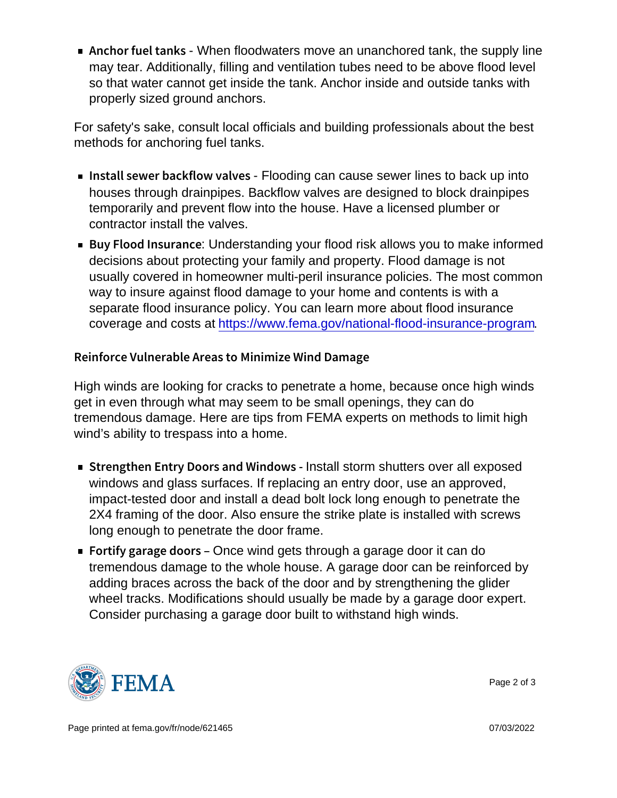Anchor fuel Wheen Knet Southers move an unanchored tank, the supply line may tear. Additionally, filling and ventilation tubes need to be above flood level so that water cannot get inside the tank. Anchor inside and outside tanks with properly sized ground anchors.

For safety's sake, consult local officials and building professionals about the best methods for anchoring fuel tanks.

- Install sewer back=ffloodding adnvoeasse sewerlines to back up into  $\overline{\phantom{a}}$ houses through drainpipes. Backflow valves are designed to block drainpipes temporarily and prevent flow into the house. Have a licensed plumber or contractor install the valves.
- **Buy Flood In sunderstanding your flood risk allows you to make informed** decisions about protecting your family and property. Flood damage is not usually covered in homeowner multi-peril insurance policies. The most common way to insure against flood damage to your home and contents is with a separate flood insurance policy. You can learn more about flood insurance coverage and costs at [https://www.fema.gov/national-flood-insurance-program.](https://www.fema.gov/national-flood-insurance-program/How-Buy-Flood-Insurance)

Reinforce VulnerabMieniAmriezaes Whond Damage

High winds are looking for cracks to penetrate a home, because once high winds get in even through what may seem to be small openings, they can do tremendous damage. Here are tips from FEMA experts on methods to limit high wind's ability to trespass into a home.

- $\blacksquare$  Strengthen Entry Doors Insstraklist Wininsblutteurs over all exposed windows and glass surfaces. If replacing an entry door, use an approved, impact-tested door and install a dead bolt lock long enough to penetrate the 2X4 framing of the door. Also ensure the strike plate is installed with screws long enough to penetrate the door frame.
- Fortify garage  $\Theta$ ndeow $\phi$ inds gets through a garage door it can do tremendous damage to the whole house. A garage door can be reinforced by adding braces across the back of the door and by strengthening the glider wheel tracks. Modifications should usually be made by a garage door expert. Consider purchasing a garage door built to withstand high winds.



Page 2 of 3